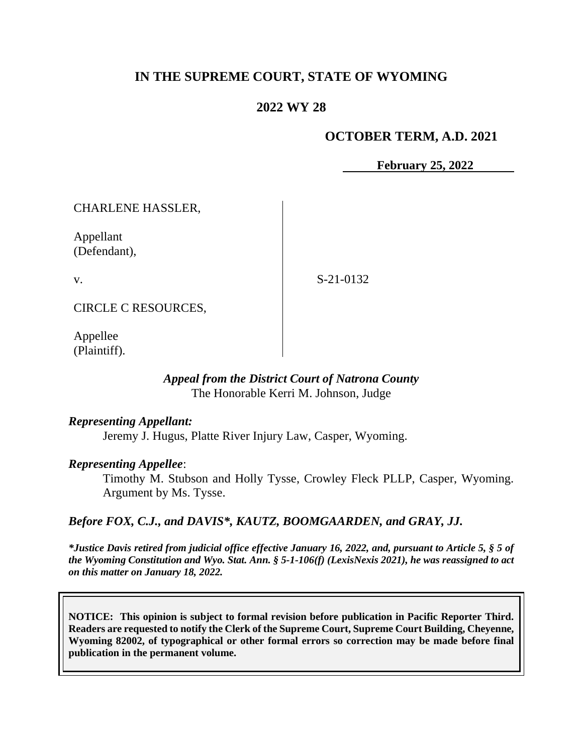# **IN THE SUPREME COURT, STATE OF WYOMING**

## **2022 WY 28**

## **OCTOBER TERM, A.D. 2021**

**February 25, 2022**

CHARLENE HASSLER,

Appellant (Defendant),

v.

S-21-0132

CIRCLE C RESOURCES,

Appellee (Plaintiff).

#### *Appeal from the District Court of Natrona County* The Honorable Kerri M. Johnson, Judge

#### *Representing Appellant:*

Jeremy J. Hugus, Platte River Injury Law, Casper, Wyoming.

#### *Representing Appellee*:

Timothy M. Stubson and Holly Tysse, Crowley Fleck PLLP, Casper, Wyoming. Argument by Ms. Tysse.

#### *Before FOX, C.J., and DAVIS\*, KAUTZ, BOOMGAARDEN, and GRAY, JJ.*

*\*Justice Davis retired from judicial office effective January 16, 2022, and, pursuant to Article 5, § 5 of the Wyoming Constitution and Wyo. Stat. Ann. § 5-1-106(f) (LexisNexis 2021), he was reassigned to act on this matter on January 18, 2022.*

**NOTICE: This opinion is subject to formal revision before publication in Pacific Reporter Third. Readers are requested to notify the Clerk of the Supreme Court, Supreme Court Building, Cheyenne, Wyoming 82002, of typographical or other formal errors so correction may be made before final publication in the permanent volume.**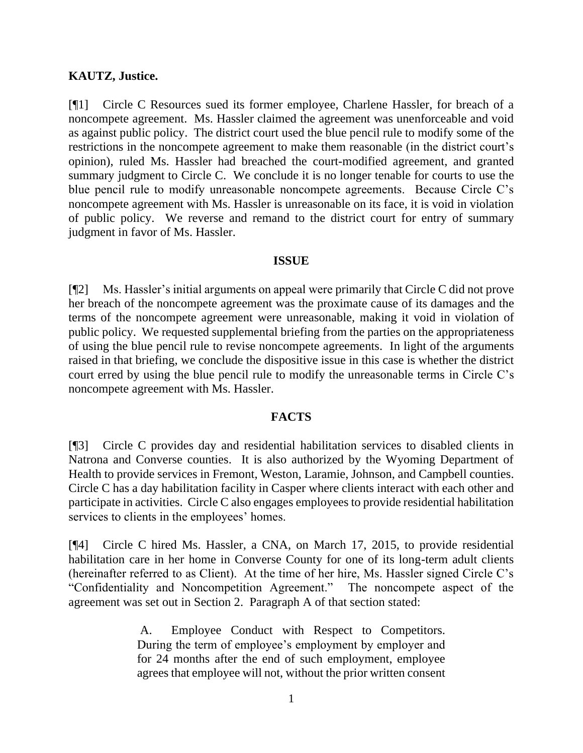#### **KAUTZ, Justice.**

[¶1] Circle C Resources sued its former employee, Charlene Hassler, for breach of a noncompete agreement. Ms. Hassler claimed the agreement was unenforceable and void as against public policy. The district court used the blue pencil rule to modify some of the restrictions in the noncompete agreement to make them reasonable (in the district court's opinion), ruled Ms. Hassler had breached the court-modified agreement, and granted summary judgment to Circle C. We conclude it is no longer tenable for courts to use the blue pencil rule to modify unreasonable noncompete agreements. Because Circle C's noncompete agreement with Ms. Hassler is unreasonable on its face, it is void in violation of public policy. We reverse and remand to the district court for entry of summary judgment in favor of Ms. Hassler.

#### **ISSUE**

[¶2] Ms. Hassler's initial arguments on appeal were primarily that Circle C did not prove her breach of the noncompete agreement was the proximate cause of its damages and the terms of the noncompete agreement were unreasonable, making it void in violation of public policy. We requested supplemental briefing from the parties on the appropriateness of using the blue pencil rule to revise noncompete agreements. In light of the arguments raised in that briefing, we conclude the dispositive issue in this case is whether the district court erred by using the blue pencil rule to modify the unreasonable terms in Circle C's noncompete agreement with Ms. Hassler.

#### **FACTS**

[¶3] Circle C provides day and residential habilitation services to disabled clients in Natrona and Converse counties. It is also authorized by the Wyoming Department of Health to provide services in Fremont, Weston, Laramie, Johnson, and Campbell counties. Circle C has a day habilitation facility in Casper where clients interact with each other and participate in activities. Circle C also engages employees to provide residential habilitation services to clients in the employees' homes.

[¶4] Circle C hired Ms. Hassler, a CNA, on March 17, 2015, to provide residential habilitation care in her home in Converse County for one of its long-term adult clients (hereinafter referred to as Client). At the time of her hire, Ms. Hassler signed Circle C's "Confidentiality and Noncompetition Agreement." The noncompete aspect of the agreement was set out in Section 2. Paragraph A of that section stated:

> A. Employee Conduct with Respect to Competitors. During the term of employee's employment by employer and for 24 months after the end of such employment, employee agrees that employee will not, without the prior written consent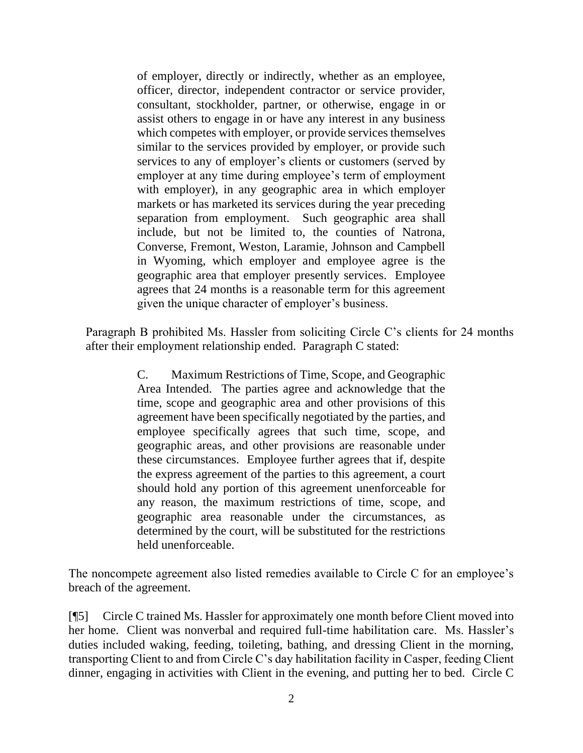of employer, directly or indirectly, whether as an employee, officer, director, independent contractor or service provider, consultant, stockholder, partner, or otherwise, engage in or assist others to engage in or have any interest in any business which competes with employer, or provide services themselves similar to the services provided by employer, or provide such services to any of employer's clients or customers (served by employer at any time during employee's term of employment with employer), in any geographic area in which employer markets or has marketed its services during the year preceding separation from employment. Such geographic area shall include, but not be limited to, the counties of Natrona, Converse, Fremont, Weston, Laramie, Johnson and Campbell in Wyoming, which employer and employee agree is the geographic area that employer presently services. Employee agrees that 24 months is a reasonable term for this agreement given the unique character of employer's business.

Paragraph B prohibited Ms. Hassler from soliciting Circle C's clients for 24 months after their employment relationship ended. Paragraph C stated:

> C. Maximum Restrictions of Time, Scope, and Geographic Area Intended. The parties agree and acknowledge that the time, scope and geographic area and other provisions of this agreement have been specifically negotiated by the parties, and employee specifically agrees that such time, scope, and geographic areas, and other provisions are reasonable under these circumstances. Employee further agrees that if, despite the express agreement of the parties to this agreement, a court should hold any portion of this agreement unenforceable for any reason, the maximum restrictions of time, scope, and geographic area reasonable under the circumstances, as determined by the court, will be substituted for the restrictions held unenforceable.

The noncompete agreement also listed remedies available to Circle C for an employee's breach of the agreement.

[¶5] Circle C trained Ms. Hassler for approximately one month before Client moved into her home. Client was nonverbal and required full-time habilitation care. Ms. Hassler's duties included waking, feeding, toileting, bathing, and dressing Client in the morning, transporting Client to and from Circle C's day habilitation facility in Casper, feeding Client dinner, engaging in activities with Client in the evening, and putting her to bed. Circle C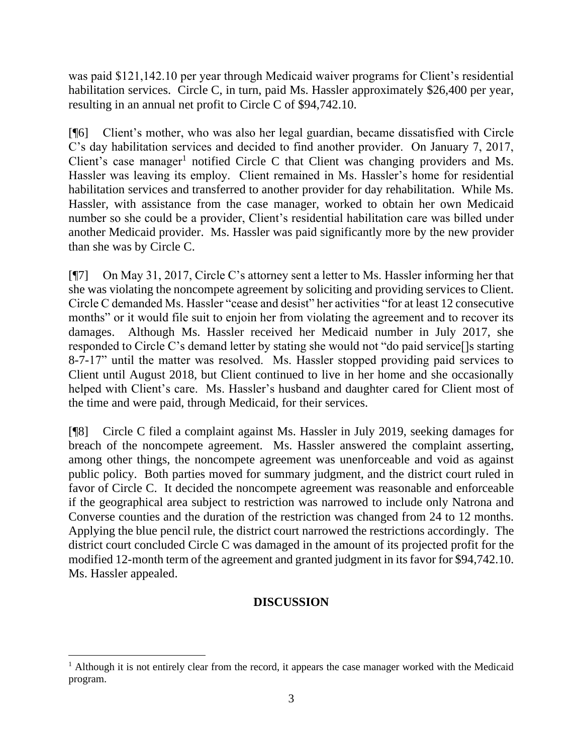was paid \$121,142.10 per year through Medicaid waiver programs for Client's residential habilitation services. Circle C, in turn, paid Ms. Hassler approximately \$26,400 per year, resulting in an annual net profit to Circle C of \$94,742.10.

[¶6] Client's mother, who was also her legal guardian, became dissatisfied with Circle C's day habilitation services and decided to find another provider. On January 7, 2017, Client's case manager<sup>1</sup> notified Circle C that Client was changing providers and Ms. Hassler was leaving its employ. Client remained in Ms. Hassler's home for residential habilitation services and transferred to another provider for day rehabilitation. While Ms. Hassler, with assistance from the case manager, worked to obtain her own Medicaid number so she could be a provider, Client's residential habilitation care was billed under another Medicaid provider. Ms. Hassler was paid significantly more by the new provider than she was by Circle C.

[¶7] On May 31, 2017, Circle C's attorney sent a letter to Ms. Hassler informing her that she was violating the noncompete agreement by soliciting and providing services to Client. Circle C demanded Ms. Hassler "cease and desist" her activities "for at least 12 consecutive months" or it would file suit to enjoin her from violating the agreement and to recover its damages. Although Ms. Hassler received her Medicaid number in July 2017, she responded to Circle C's demand letter by stating she would not "do paid service[]s starting 8-7-17" until the matter was resolved. Ms. Hassler stopped providing paid services to Client until August 2018, but Client continued to live in her home and she occasionally helped with Client's care. Ms. Hassler's husband and daughter cared for Client most of the time and were paid, through Medicaid, for their services.

[¶8] Circle C filed a complaint against Ms. Hassler in July 2019, seeking damages for breach of the noncompete agreement. Ms. Hassler answered the complaint asserting, among other things, the noncompete agreement was unenforceable and void as against public policy. Both parties moved for summary judgment, and the district court ruled in favor of Circle C. It decided the noncompete agreement was reasonable and enforceable if the geographical area subject to restriction was narrowed to include only Natrona and Converse counties and the duration of the restriction was changed from 24 to 12 months. Applying the blue pencil rule, the district court narrowed the restrictions accordingly. The district court concluded Circle C was damaged in the amount of its projected profit for the modified 12-month term of the agreement and granted judgment in its favor for \$94,742.10. Ms. Hassler appealed.

# **DISCUSSION**

 $1$  Although it is not entirely clear from the record, it appears the case manager worked with the Medicaid program.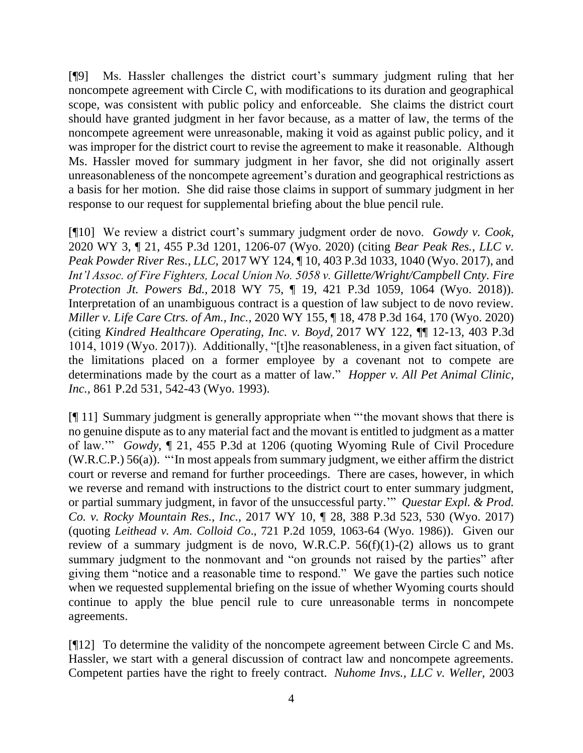[¶9] Ms. Hassler challenges the district court's summary judgment ruling that her noncompete agreement with Circle C, with modifications to its duration and geographical scope, was consistent with public policy and enforceable. She claims the district court should have granted judgment in her favor because, as a matter of law, the terms of the noncompete agreement were unreasonable, making it void as against public policy, and it was improper for the district court to revise the agreement to make it reasonable. Although Ms. Hassler moved for summary judgment in her favor, she did not originally assert unreasonableness of the noncompete agreement's duration and geographical restrictions as a basis for her motion. She did raise those claims in support of summary judgment in her response to our request for supplemental briefing about the blue pencil rule.

[¶10] We review a district court's summary judgment order de novo. *Gowdy v. Cook,*  2020 WY 3, ¶ 21, 455 P.3d 1201, 1206-07 (Wyo. 2020) (citing *Bear Peak Res., LLC v. Peak Powder River Res., LLC,* 2017 WY 124, ¶ 10, 403 P.3d 1033, 1040 (Wyo. 2017), and *Int'l Assoc. of Fire Fighters, Local Union No. 5058 v. Gillette/Wright/Campbell Cnty. Fire Protection Jt. Powers Bd.,* 2018 WY 75, ¶ 19, 421 P.3d 1059, 1064 (Wyo. 2018)). Interpretation of an unambiguous contract is a question of law subject to de novo review. *Miller v. Life Care Ctrs. of Am., Inc.,* 2020 WY 155, ¶ 18, 478 P.3d 164, 170 (Wyo. 2020) (citing *Kindred Healthcare Operating, Inc. v. Boyd,* 2017 WY 122, ¶¶ 12-13, 403 P.3d 1014, 1019 (Wyo. 2017)). Additionally, "[t]he reasonableness, in a given fact situation, of the limitations placed on a former employee by a covenant not to compete are determinations made by the court as a matter of law." *Hopper v. All Pet Animal Clinic, Inc.,* 861 P.2d 531, 542-43 (Wyo. 1993).

[¶ 11] Summary judgment is generally appropriate when "'the movant shows that there is no genuine dispute as to any material fact and the movant is entitled to judgment as a matter of law.'" *Gowdy*, ¶ 21, 455 P.3d at 1206 (quoting Wyoming Rule of Civil Procedure (W.R.C.P.) 56(a)). "'In most appeals from summary judgment, we either affirm the district court or reverse and remand for further proceedings. There are cases, however, in which we reverse and remand with instructions to the district court to enter summary judgment, or partial summary judgment, in favor of the unsuccessful party.'" *Questar Expl. & Prod. Co. v. Rocky Mountain Res., Inc.,* 2017 WY 10, ¶ 28, 388 P.3d 523, 530 (Wyo. 2017) (quoting *Leithead v. Am. Colloid Co*., 721 P.2d 1059, 1063-64 (Wyo. 1986)). Given our review of a summary judgment is de novo, W.R.C.P.  $56(f)(1)-(2)$  allows us to grant summary judgment to the nonmovant and "on grounds not raised by the parties" after giving them "notice and a reasonable time to respond." We gave the parties such notice when we requested supplemental briefing on the issue of whether Wyoming courts should continue to apply the blue pencil rule to cure unreasonable terms in noncompete agreements.

[¶12] To determine the validity of the noncompete agreement between Circle C and Ms. Hassler, we start with a general discussion of contract law and noncompete agreements. Competent parties have the right to freely contract. *Nuhome Invs., LLC v. Weller,* 2003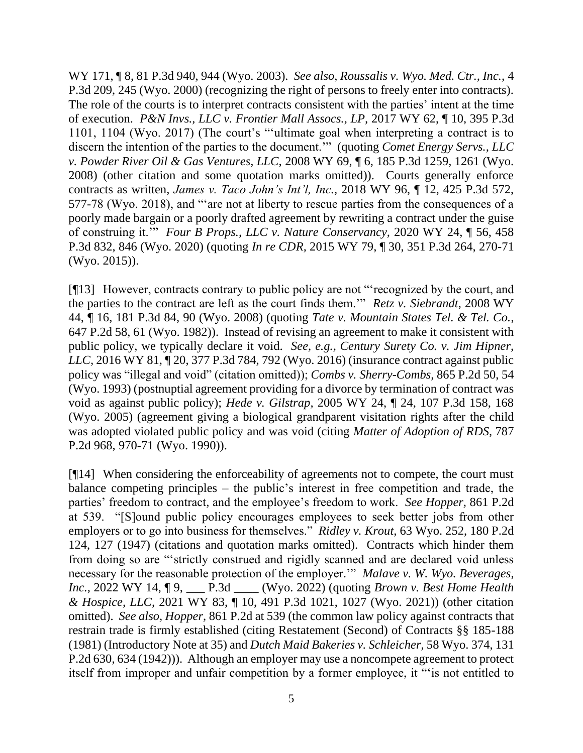WY 171, ¶ 8, 81 P.3d 940, 944 (Wyo. 2003). *See also, Roussalis v. Wyo. Med. Ctr., Inc.,* 4 P.3d 209, 245 (Wyo. 2000) (recognizing the right of persons to freely enter into contracts). The role of the courts is to interpret contracts consistent with the parties' intent at the time of execution. *P&N Invs., LLC v. Frontier Mall Assocs., LP,* 2017 WY 62, ¶ 10, 395 P.3d 1101, 1104 (Wyo. 2017) (The court's "'ultimate goal when interpreting a contract is to discern the intention of the parties to the document.'" (quoting *Comet Energy Servs., LLC v. Powder River Oil & Gas Ventures, LLC,* 2008 WY 69, ¶ 6, 185 P.3d 1259, 1261 (Wyo. 2008) (other citation and some quotation marks omitted)). Courts generally enforce contracts as written, *James v. Taco John's Int'l, Inc.,* 2018 WY 96, ¶ 12, 425 P.3d 572, 577-78 (Wyo. 2018), and "'are not at liberty to rescue parties from the consequences of a poorly made bargain or a poorly drafted agreement by rewriting a contract under the guise of construing it.'" *Four B Props., LLC v. Nature Conservancy,* 2020 WY 24, ¶ 56, 458 P.3d 832, 846 (Wyo. 2020) (quoting *In re CDR,* 2015 WY 79, ¶ 30, 351 P.3d 264, 270-71 (Wyo. 2015)).

[¶13] However, contracts contrary to public policy are not "'recognized by the court, and the parties to the contract are left as the court finds them.'" *Retz v. Siebrandt*, 2008 WY 44, ¶ 16, 181 P.3d 84, 90 (Wyo. 2008) (quoting *Tate v. Mountain States Tel. & Tel. Co.*, 647 P.2d 58, 61 (Wyo. 1982)). Instead of revising an agreement to make it consistent with public policy, we typically declare it void. *See, e.g., Century Surety Co. v. Jim Hipner, LLC,* 2016 WY 81, ¶ 20, 377 P.3d 784, 792 (Wyo. 2016) (insurance contract against public policy was "illegal and void" (citation omitted)); *Combs v. Sherry-Combs,* 865 P.2d 50, 54 (Wyo. 1993) (postnuptial agreement providing for a divorce by termination of contract was void as against public policy); *Hede v. Gilstrap,* 2005 WY 24, ¶ 24, 107 P.3d 158, 168 (Wyo. 2005) (agreement giving a biological grandparent visitation rights after the child was adopted violated public policy and was void (citing *Matter of Adoption of RDS,* 787 P.2d 968, 970-71 (Wyo. 1990)).

[¶14] When considering the enforceability of agreements not to compete, the court must balance competing principles – the public's interest in free competition and trade, the parties' freedom to contract, and the employee's freedom to work. *See Hopper,* 861 P.2d at 539. "[S]ound public policy encourages employees to seek better jobs from other employers or to go into business for themselves." *Ridley v. Krout,* 63 Wyo. 252, 180 P.2d 124, 127 (1947) (citations and quotation marks omitted). Contracts which hinder them from doing so are "'strictly construed and rigidly scanned and are declared void unless necessary for the reasonable protection of the employer.'" *Malave v. W. Wyo. Beverages, Inc.,* 2022 WY 14, ¶ 9, \_\_\_ P.3d \_\_\_\_ (Wyo. 2022) (quoting *Brown v. Best Home Health & Hospice, LLC,* 2021 WY 83, ¶ 10, 491 P.3d 1021, 1027 (Wyo. 2021)) (other citation omitted). *See also, Hopper,* 861 P.2d at 539 (the common law policy against contracts that restrain trade is firmly established (citing Restatement (Second) of Contracts §§ 185-188 (1981) (Introductory Note at 35) and *Dutch Maid Bakeries v. Schleicher,* 58 Wyo. 374, 131 P.2d 630, 634 (1942))). Although an employer may use a noncompete agreement to protect itself from improper and unfair competition by a former employee, it "'is not entitled to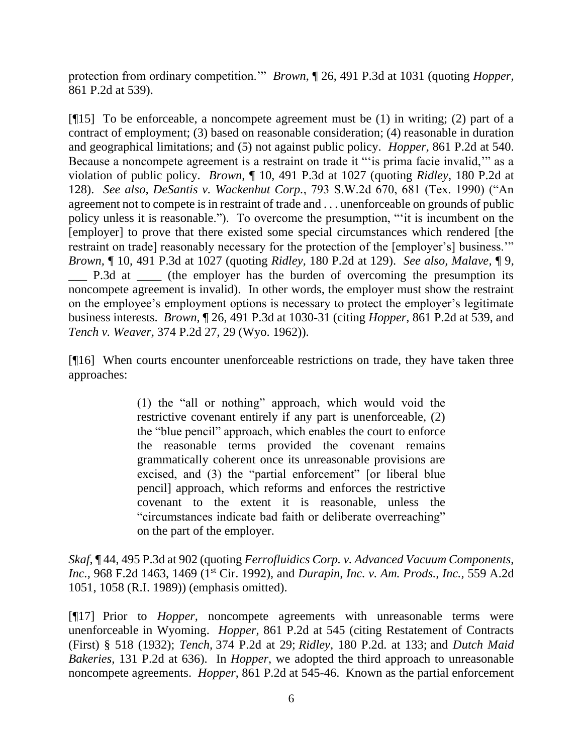protection from ordinary competition.'" *Brown*, ¶ 26, 491 P.3d at 1031 (quoting *Hopper,*  861 P.2d at 539).

[¶15] To be enforceable, a noncompete agreement must be (1) in writing; (2) part of a contract of employment; (3) based on reasonable consideration; (4) reasonable in duration and geographical limitations; and (5) not against public policy. *Hopper,* 861 P.2d at 540. Because a noncompete agreement is a restraint on trade it "'is prima facie invalid,'" as a violation of public policy. *Brown,* ¶ 10, 491 P.3d at 1027 (quoting *Ridley*, 180 P.2d at 128). *See also, DeSantis v. Wackenhut Corp.*, 793 S.W.2d 670, 681 (Tex. 1990) ("An agreement not to compete is in restraint of trade and . . . unenforceable on grounds of public policy unless it is reasonable."). To overcome the presumption, "'it is incumbent on the [employer] to prove that there existed some special circumstances which rendered [the restraint on trade] reasonably necessary for the protection of the [employer's] business." *Brown,* ¶ 10, 491 P.3d at 1027 (quoting *Ridley,* 180 P.2d at 129). *See also, Malave,* ¶ 9, \_\_\_ P.3d at \_\_\_\_ (the employer has the burden of overcoming the presumption its noncompete agreement is invalid). In other words, the employer must show the restraint on the employee's employment options is necessary to protect the employer's legitimate business interests. *Brown,* ¶ 26, 491 P.3d at 1030-31 (citing *Hopper,* 861 P.2d at 539, and *Tench v. Weaver,* 374 P.2d 27, 29 (Wyo. 1962)).

[¶16] When courts encounter unenforceable restrictions on trade, they have taken three approaches:

> (1) the "all or nothing" approach, which would void the restrictive covenant entirely if any part is unenforceable, (2) the "blue pencil" approach, which enables the court to enforce the reasonable terms provided the covenant remains grammatically coherent once its unreasonable provisions are excised, and (3) the "partial enforcement" [or liberal blue pencil] approach, which reforms and enforces the restrictive covenant to the extent it is reasonable, unless the "circumstances indicate bad faith or deliberate overreaching" on the part of the employer.

*Skaf,* ¶ 44, 495 P.3d at 902 (quoting *Ferrofluidics Corp. v. Advanced Vacuum Components, Inc.*, 968 F.2d 1463, 1469 (1<sup>st</sup> Cir. 1992), and *Durapin, Inc. v. Am. Prods., Inc.*, 559 A.2d 1051, 1058 (R.I. 1989)) (emphasis omitted).

[¶17] Prior to *Hopper,* noncompete agreements with unreasonable terms were unenforceable in Wyoming. *Hopper,* 861 P.2d at 545 (citing Restatement of Contracts (First) § 518 (1932); *Tench,* 374 P.2d at 29; *Ridley,* 180 P.2d. at 133; and *Dutch Maid Bakeries*, 131 P.2d at 636).In *Hopper*, we adopted the third approach to unreasonable noncompete agreements. *Hopper*, 861 P.2d at 545-46. Known as the partial enforcement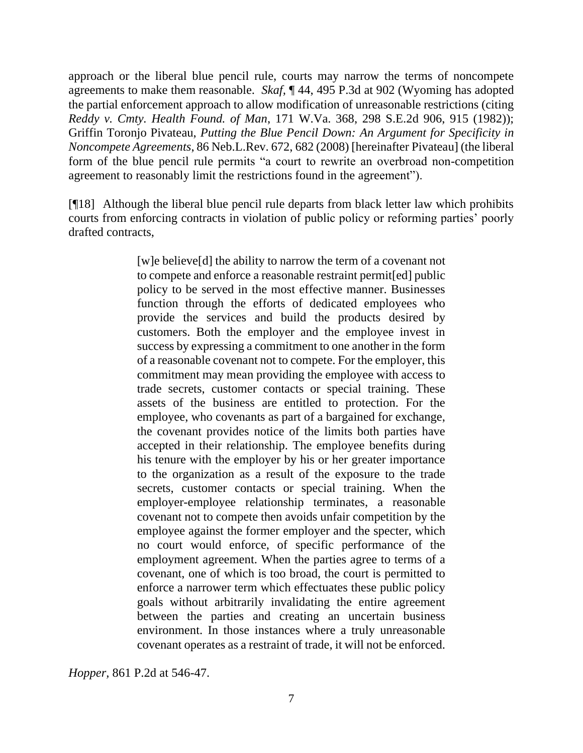approach or the liberal blue pencil rule, courts may narrow the terms of noncompete agreements to make them reasonable. *Skaf,* ¶ 44, 495 P.3d at 902 (Wyoming has adopted the partial enforcement approach to allow modification of unreasonable restrictions (citing *Reddy v. Cmty. Health Found. of Man*, 171 W.Va. 368, 298 S.E.2d 906, 915 (1982)); Griffin Toronjo Pivateau, *Putting the Blue Pencil Down: An Argument for Specificity in Noncompete Agreements*, 86 Neb.L.Rev. 672, 682 (2008) [hereinafter Pivateau] (the liberal form of the blue pencil rule permits "a court to rewrite an overbroad non-competition agreement to reasonably limit the restrictions found in the agreement").

[¶18] Although the liberal blue pencil rule departs from black letter law which prohibits courts from enforcing contracts in violation of public policy or reforming parties' poorly drafted contracts,

> [w]e believe[d] the ability to narrow the term of a covenant not to compete and enforce a reasonable restraint permit[ed] public policy to be served in the most effective manner. Businesses function through the efforts of dedicated employees who provide the services and build the products desired by customers. Both the employer and the employee invest in success by expressing a commitment to one another in the form of a reasonable covenant not to compete. For the employer, this commitment may mean providing the employee with access to trade secrets, customer contacts or special training. These assets of the business are entitled to protection. For the employee, who covenants as part of a bargained for exchange, the covenant provides notice of the limits both parties have accepted in their relationship. The employee benefits during his tenure with the employer by his or her greater importance to the organization as a result of the exposure to the trade secrets, customer contacts or special training. When the employer-employee relationship terminates, a reasonable covenant not to compete then avoids unfair competition by the employee against the former employer and the specter, which no court would enforce, of specific performance of the employment agreement. When the parties agree to terms of a covenant, one of which is too broad, the court is permitted to enforce a narrower term which effectuates these public policy goals without arbitrarily invalidating the entire agreement between the parties and creating an uncertain business environment. In those instances where a truly unreasonable covenant operates as a restraint of trade, it will not be enforced.

*Hopper,* 861 P.2d at 546-47.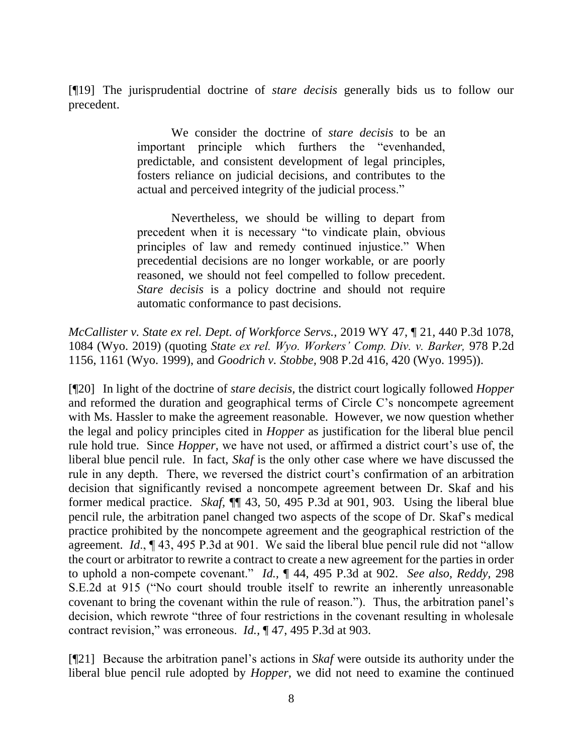[¶19] The jurisprudential doctrine of *stare decisis* generally bids us to follow our precedent.

> We consider the doctrine of *stare decisis* to be an important principle which furthers the "evenhanded, predictable, and consistent development of legal principles, fosters reliance on judicial decisions, and contributes to the actual and perceived integrity of the judicial process."

> Nevertheless, we should be willing to depart from precedent when it is necessary "to vindicate plain, obvious principles of law and remedy continued injustice." When precedential decisions are no longer workable, or are poorly reasoned, we should not feel compelled to follow precedent. *Stare decisis* is a policy doctrine and should not require automatic conformance to past decisions.

*McCallister v. State ex rel. Dept. of Workforce Servs.,* 2019 WY 47, ¶ 21, 440 P.3d 1078, 1084 (Wyo. 2019) (quoting *State ex rel. Wyo. Workers' Comp. Div. v. Barker,* 978 P.2d 1156, 1161 (Wyo. 1999), and *Goodrich v. Stobbe,* 908 P.2d 416, 420 (Wyo. 1995)).

[¶20] In light of the doctrine of *stare decisis,* the district court logically followed *Hopper*  and reformed the duration and geographical terms of Circle C's noncompete agreement with Ms. Hassler to make the agreement reasonable. However, we now question whether the legal and policy principles cited in *Hopper* as justification for the liberal blue pencil rule hold true. Since *Hopper,* we have not used, or affirmed a district court's use of, the liberal blue pencil rule. In fact, *Skaf* is the only other case where we have discussed the rule in any depth. There, we reversed the district court's confirmation of an arbitration decision that significantly revised a noncompete agreement between Dr. Skaf and his former medical practice. *Skaf,* ¶¶ 43, 50, 495 P.3d at 901, 903. Using the liberal blue pencil rule, the arbitration panel changed two aspects of the scope of Dr. Skaf's medical practice prohibited by the noncompete agreement and the geographical restriction of the agreement. *Id*., ¶ 43, 495 P.3d at 901. We said the liberal blue pencil rule did not "allow the court or arbitrator to rewrite a contract to create a new agreement for the parties in order to uphold a non-compete covenant." *Id.,* ¶ 44, 495 P.3d at 902. *See also, Reddy,* 298 S.E.2d at 915 ("No court should trouble itself to rewrite an inherently unreasonable covenant to bring the covenant within the rule of reason."). Thus, the arbitration panel's decision, which rewrote "three of four restrictions in the covenant resulting in wholesale contract revision," was erroneous. *Id.,* ¶ 47, 495 P.3d at 903.

[¶21] Because the arbitration panel's actions in *Skaf* were outside its authority under the liberal blue pencil rule adopted by *Hopper,* we did not need to examine the continued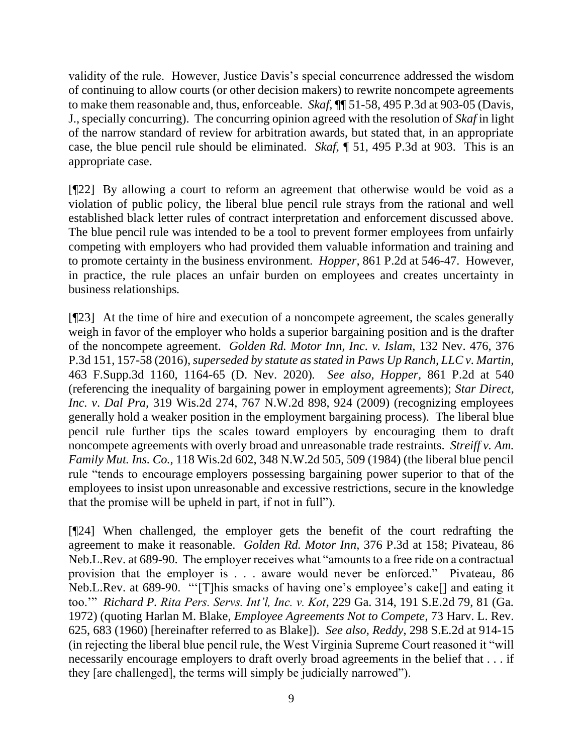validity of the rule. However, Justice Davis's special concurrence addressed the wisdom of continuing to allow courts (or other decision makers) to rewrite noncompete agreements to make them reasonable and, thus, enforceable*. Skaf,* ¶¶ 51-58, 495 P.3d at 903-05 (Davis, J., specially concurring). The concurring opinion agreed with the resolution of *Skaf* in light of the narrow standard of review for arbitration awards, but stated that, in an appropriate case, the blue pencil rule should be eliminated. *Skaf,* ¶ 51, 495 P.3d at 903. This is an appropriate case.

[¶22] By allowing a court to reform an agreement that otherwise would be void as a violation of public policy, the liberal blue pencil rule strays from the rational and well established black letter rules of contract interpretation and enforcement discussed above. The blue pencil rule was intended to be a tool to prevent former employees from unfairly competing with employers who had provided them valuable information and training and to promote certainty in the business environment. *Hopper,* 861 P.2d at 546-47. However, in practice, the rule places an unfair burden on employees and creates uncertainty in business relationships*.* 

[¶23] At the time of hire and execution of a noncompete agreement, the scales generally weigh in favor of the employer who holds a superior bargaining position and is the drafter of the noncompete agreement. *Golden Rd. Motor Inn, Inc. v. Islam,* 132 Nev. 476, 376 P.3d 151, 157-58 (2016), *superseded by statute as stated in Paws Up Ranch, LLC v. Martin,*  463 F.Supp.3d 1160, 1164-65 (D. Nev. 2020)*. See also, Hopper,* 861 P.2d at 540 (referencing the inequality of bargaining power in employment agreements); *Star Direct, Inc. v*. *Dal Pra,* 319 Wis.2d 274, 767 N.W.2d 898, 924 (2009) (recognizing employees generally hold a weaker position in the employment bargaining process).The liberal blue pencil rule further tips the scales toward employers by encouraging them to draft noncompete agreements with overly broad and unreasonable trade restraints. *Streiff v. Am. Family Mut. Ins. Co.,* 118 Wis.2d 602, 348 N.W.2d 505, 509 (1984) (the liberal blue pencil rule "tends to encourage employers possessing bargaining power superior to that of the employees to insist upon unreasonable and excessive restrictions, secure in the knowledge that the promise will be upheld in part, if not in full").

[¶24] When challenged, the employer gets the benefit of the court redrafting the agreement to make it reasonable. *Golden Rd. Motor Inn,* 376 P.3d at 158; Pivateau*,* 86 Neb.L.Rev. at 689-90.The employer receives what "amounts to a free ride on a contractual provision that the employer is . . . aware would never be enforced." Pivateau*,* 86 Neb.L.Rev. at 689-90. "'[T]his smacks of having one's employee's cake[] and eating it too.'" *Richard P. Rita Pers. Servs. Int'l, Inc. v. Kot*, 229 Ga. 314, 191 S.E.2d 79, 81 (Ga. 1972) (quoting Harlan M. Blake, *Employee Agreements Not to Compete*, 73 Harv. L. Rev. 625, 683 (1960) [hereinafter referred to as Blake]). *See also, Reddy*, 298 S.E.2d at 914-15 (in rejecting the liberal blue pencil rule, the West Virginia Supreme Court reasoned it "will necessarily encourage employers to draft overly broad agreements in the belief that . . . if they [are challenged], the terms will simply be judicially narrowed").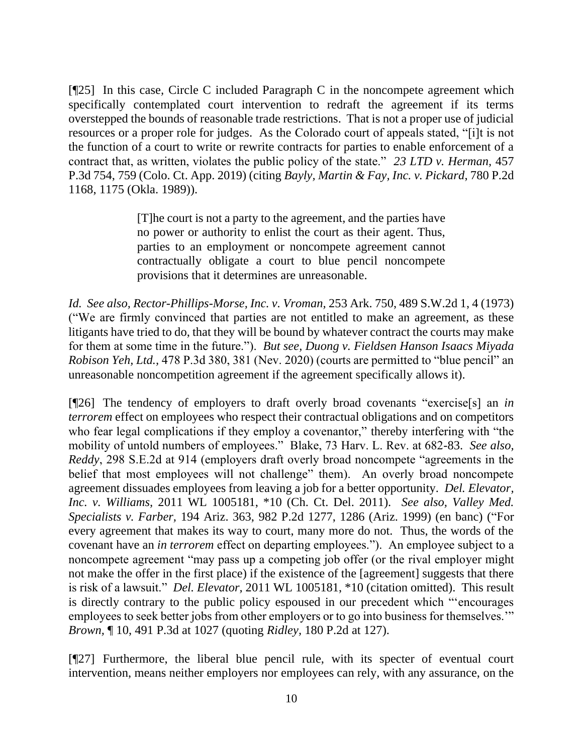[¶25] In this case*,* Circle C included Paragraph C in the noncompete agreement which specifically contemplated court intervention to redraft the agreement if its terms overstepped the bounds of reasonable trade restrictions. That is not a proper use of judicial resources or a proper role for judges. As the Colorado court of appeals stated, "[i]t is not the function of a court to write or rewrite contracts for parties to enable enforcement of a contract that, as written, violates the public policy of the state." *23 LTD v. Herman,* 457 P.3d 754, 759 (Colo. Ct. App. 2019) (citing *Bayly, Martin & Fay, Inc. v. Pickard*, 780 P.2d 1168, 1175 (Okla. 1989)).

> [T]he court is not a party to the agreement, and the parties have no power or authority to enlist the court as their agent. Thus, parties to an employment or noncompete agreement cannot contractually obligate a court to blue pencil noncompete provisions that it determines are unreasonable.

*Id. See also, Rector-Phillips-Morse, Inc. v. Vroman,* 253 Ark. 750, 489 S.W.2d 1, 4 (1973) ("We are firmly convinced that parties are not entitled to make an agreement, as these litigants have tried to do, that they will be bound by whatever contract the courts may make for them at some time in the future."). *But see, Duong v. Fieldsen Hanson Isaacs Miyada Robison Yeh, Ltd.,* 478 P.3d 380, 381 (Nev. 2020) (courts are permitted to "blue pencil" an unreasonable noncompetition agreement if the agreement specifically allows it).

[¶26] The tendency of employers to draft overly broad covenants "exercise[s] an *in terrorem* effect on employees who respect their contractual obligations and on competitors who fear legal complications if they employ a covenantor," thereby interfering with "the mobility of untold numbers of employees." Blake, 73 Harv. L. Rev. at 682-83. *See also, Reddy*, 298 S.E.2d at 914 (employers draft overly broad noncompete "agreements in the belief that most employees will not challenge" them). An overly broad noncompete agreement dissuades employees from leaving a job for a better opportunity. *Del. Elevator, Inc. v. Williams,* 2011 WL 1005181, \*10 (Ch. Ct. Del. 2011). *See also, Valley Med. Specialists v. Farber,* 194 Ariz. 363, 982 P.2d 1277, 1286 (Ariz. 1999) (en banc) ("For every agreement that makes its way to court, many more do not. Thus, the words of the covenant have an *in terrorem* effect on departing employees."). An employee subject to a noncompete agreement "may pass up a competing job offer (or the rival employer might not make the offer in the first place) if the existence of the [agreement] suggests that there is risk of a lawsuit." *Del. Elevator,* 2011 WL 1005181, \*10 (citation omitted).This result is directly contrary to the public policy espoused in our precedent which "'encourages employees to seek better jobs from other employers or to go into business for themselves.'" *Brown,* ¶ 10, 491 P.3d at 1027 (quoting *Ridley,* 180 P.2d at 127).

[¶27] Furthermore, the liberal blue pencil rule, with its specter of eventual court intervention, means neither employers nor employees can rely, with any assurance, on the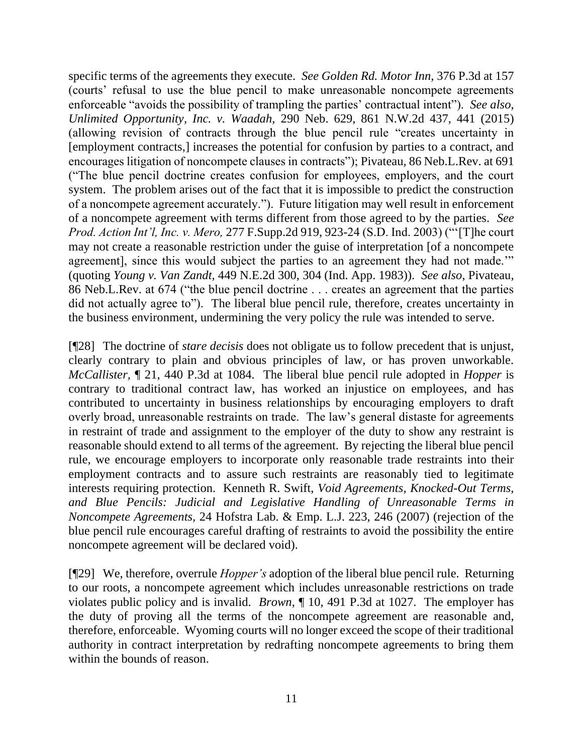specific terms of the agreements they execute. *See Golden Rd. Motor Inn,* 376 P.3d at 157 (courts' refusal to use the blue pencil to make unreasonable noncompete agreements enforceable "avoids the possibility of trampling the parties' contractual intent"). *See also, Unlimited Opportunity, Inc. v. Waadah,* 290 Neb. 629, 861 N.W.2d 437, 441 (2015) (allowing revision of contracts through the blue pencil rule "creates uncertainty in [employment contracts,] increases the potential for confusion by parties to a contract, and encourages litigation of noncompete clauses in contracts"); Pivateau*,* 86 Neb.L.Rev. at 691 ("The blue pencil doctrine creates confusion for employees, employers, and the court system. The problem arises out of the fact that it is impossible to predict the construction of a noncompete agreement accurately."). Future litigation may well result in enforcement of a noncompete agreement with terms different from those agreed to by the parties. *See Prod. Action Int'l, Inc. v. Mero,* 277 F.Supp.2d 919, 923-24 (S.D. Ind. 2003) ("'[T]he court may not create a reasonable restriction under the guise of interpretation [of a noncompete agreement], since this would subject the parties to an agreement they had not made.'" (quoting *Young v. Van Zandt,* 449 N.E.2d 300, 304 (Ind. App. 1983)). *See also*, Pivateau*,*  86 Neb.L.Rev. at 674 ("the blue pencil doctrine . . . creates an agreement that the parties did not actually agree to"). The liberal blue pencil rule, therefore, creates uncertainty in the business environment, undermining the very policy the rule was intended to serve.

[¶28] The doctrine of *stare decisis* does not obligate us to follow precedent that is unjust, clearly contrary to plain and obvious principles of law, or has proven unworkable. *McCallister,* ¶ 21, 440 P.3d at 1084. The liberal blue pencil rule adopted in *Hopper* is contrary to traditional contract law, has worked an injustice on employees, and has contributed to uncertainty in business relationships by encouraging employers to draft overly broad, unreasonable restraints on trade. The law's general distaste for agreements in restraint of trade and assignment to the employer of the duty to show any restraint is reasonable should extend to all terms of the agreement. By rejecting the liberal blue pencil rule, we encourage employers to incorporate only reasonable trade restraints into their employment contracts and to assure such restraints are reasonably tied to legitimate interests requiring protection. Kenneth R. Swift, *Void Agreements, Knocked-Out Terms, and Blue Pencils: Judicial and Legislative Handling of Unreasonable Terms in Noncompete Agreements,* 24 Hofstra Lab. & Emp. L.J. 223, 246 (2007) (rejection of the blue pencil rule encourages careful drafting of restraints to avoid the possibility the entire noncompete agreement will be declared void).

[¶29] We, therefore, overrule *Hopper's* adoption of the liberal blue pencil rule. Returning to our roots, a noncompete agreement which includes unreasonable restrictions on trade violates public policy and is invalid. *Brown*, ¶ 10, 491 P.3d at 1027. The employer has the duty of proving all the terms of the noncompete agreement are reasonable and, therefore, enforceable. Wyoming courts will no longer exceed the scope of their traditional authority in contract interpretation by redrafting noncompete agreements to bring them within the bounds of reason.